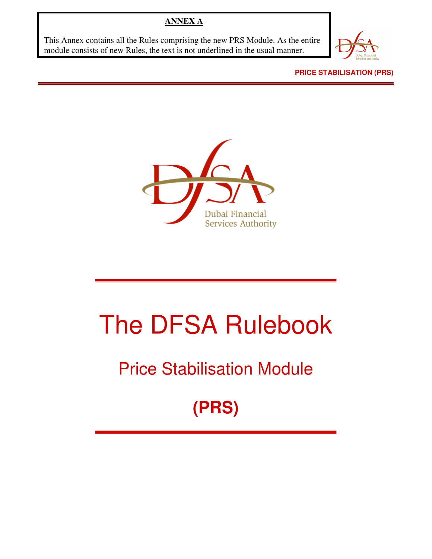## **ANNEX A**

This Annex contains all the Rules comprising the new PRS Module. As the entire module consists of new Rules, the text is not underlined in the usual manner.



**PRICE STABILISATION (PRS)** 



# The DFSA Rulebook

## Price Stabilisation Module

## **(PRS)**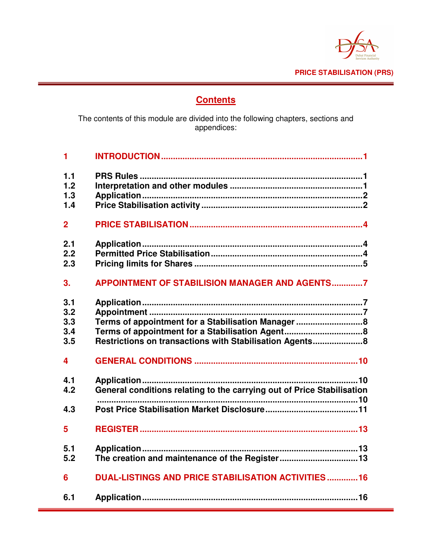

## **Contents**

The contents of this module are divided into the following chapters, sections and appendices:

| 1                               |                                                                                                              |
|---------------------------------|--------------------------------------------------------------------------------------------------------------|
| 1.1<br>1.2<br>1.3<br>1.4        |                                                                                                              |
| $\overline{2}$                  |                                                                                                              |
| 2.1<br>2.2<br>2.3               |                                                                                                              |
| 3.                              | <b>APPOINTMENT OF STABILISION MANAGER AND AGENTS7</b>                                                        |
| 3.1<br>3.2<br>3.3<br>3.4<br>3.5 | Terms of appointment for a Stabilisation Manager8<br>Restrictions on transactions with Stabilisation Agents8 |
| $\overline{\mathbf{4}}$         |                                                                                                              |
| 4.1<br>4.2<br>4.3               | General conditions relating to the carrying out of Price Stabilisation                                       |
| 5                               |                                                                                                              |
| 5.1<br>5.2                      | The creation and maintenance of the Register13                                                               |
| 6                               | <b>DUAL-LISTINGS AND PRICE STABILISATION ACTIVITIES 16</b>                                                   |
| 6.1                             |                                                                                                              |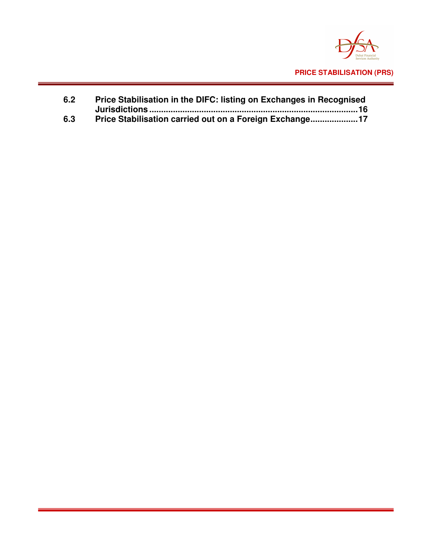

| 6.2 | Price Stabilisation in the DIFC: listing on Exchanges in Recognised |  |
|-----|---------------------------------------------------------------------|--|
|     |                                                                     |  |
| 6.3 | Price Stabilisation carried out on a Foreign Exchange17             |  |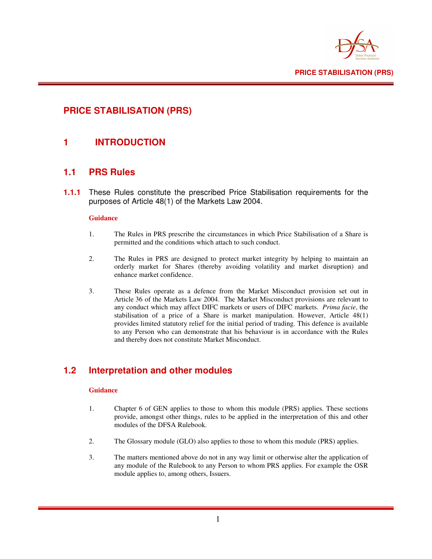

## **PRICE STABILISATION (PRS)**

### **1 INTRODUCTION**

#### **1.1 PRS Rules**

**1.1.1** These Rules constitute the prescribed Price Stabilisation requirements for the purposes of Article 48(1) of the Markets Law 2004.

#### **Guidance**

- 1. The Rules in PRS prescribe the circumstances in which Price Stabilisation of a Share is permitted and the conditions which attach to such conduct.
- 2. The Rules in PRS are designed to protect market integrity by helping to maintain an orderly market for Shares (thereby avoiding volatility and market disruption) and enhance market confidence.
- 3. These Rules operate as a defence from the Market Misconduct provision set out in Article 36 of the Markets Law 2004. The Market Misconduct provisions are relevant to any conduct which may affect DIFC markets or users of DIFC markets. *Prima facie*, the stabilisation of a price of a Share is market manipulation. However, Article 48(1) provides limited statutory relief for the initial period of trading. This defence is available to any Person who can demonstrate that his behaviour is in accordance with the Rules and thereby does not constitute Market Misconduct.

## **1.2 Interpretation and other modules**

#### **Guidance**

- 1. Chapter 6 of GEN applies to those to whom this module (PRS) applies. These sections provide, amongst other things, rules to be applied in the interpretation of this and other modules of the DFSA Rulebook.
- 2. The Glossary module (GLO) also applies to those to whom this module (PRS) applies.
- 3. The matters mentioned above do not in any way limit or otherwise alter the application of any module of the Rulebook to any Person to whom PRS applies. For example the OSR module applies to, among others, Issuers.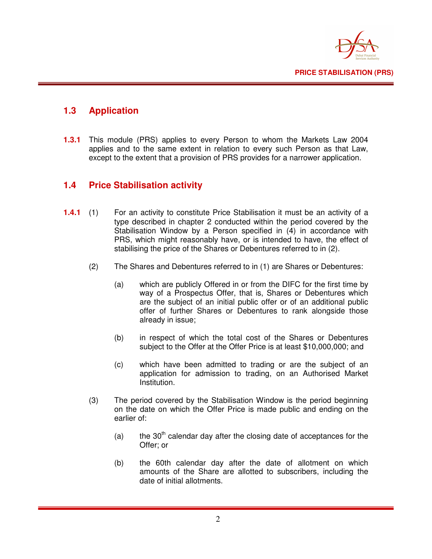

## **1.3 Application**

**1.3.1** This module (PRS) applies to every Person to whom the Markets Law 2004 applies and to the same extent in relation to every such Person as that Law, except to the extent that a provision of PRS provides for a narrower application.

### **1.4 Price Stabilisation activity**

- **1.4.1** (1) For an activity to constitute Price Stabilisation it must be an activity of a type described in chapter 2 conducted within the period covered by the Stabilisation Window by a Person specified in (4) in accordance with PRS, which might reasonably have, or is intended to have, the effect of stabilising the price of the Shares or Debentures referred to in (2).
	- (2) The Shares and Debentures referred to in (1) are Shares or Debentures:
		- (a) which are publicly Offered in or from the DIFC for the first time by way of a Prospectus Offer, that is, Shares or Debentures which are the subject of an initial public offer or of an additional public offer of further Shares or Debentures to rank alongside those already in issue;
		- (b) in respect of which the total cost of the Shares or Debentures subject to the Offer at the Offer Price is at least \$10,000,000; and
		- (c) which have been admitted to trading or are the subject of an application for admission to trading, on an Authorised Market Institution.
	- (3) The period covered by the Stabilisation Window is the period beginning on the date on which the Offer Price is made public and ending on the earlier of:
		- (a) the  $30<sup>th</sup>$  calendar day after the closing date of acceptances for the Offer; or
		- (b) the 60th calendar day after the date of allotment on which amounts of the Share are allotted to subscribers, including the date of initial allotments.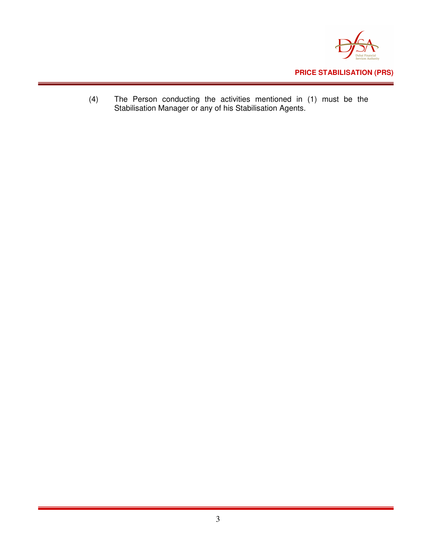

(4) The Person conducting the activities mentioned in (1) must be the Stabilisation Manager or any of his Stabilisation Agents.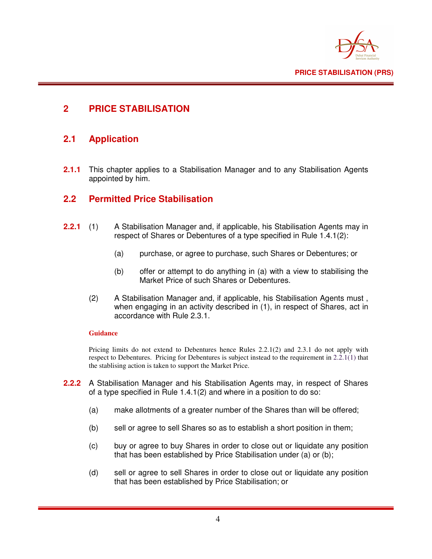

## **2 PRICE STABILISATION**

### **2.1 Application**

**2.1.1** This chapter applies to a Stabilisation Manager and to any Stabilisation Agents appointed by him.

### **2.2 Permitted Price Stabilisation**

- **2.2.1** (1) A Stabilisation Manager and, if applicable, his Stabilisation Agents may in respect of Shares or Debentures of a type specified in Rule 1.4.1(2):
	- (a) purchase, or agree to purchase, such Shares or Debentures; or
	- (b) offer or attempt to do anything in (a) with a view to stabilising the Market Price of such Shares or Debentures.
	- (2) A Stabilisation Manager and, if applicable, his Stabilisation Agents must , when engaging in an activity described in (1), in respect of Shares, act in accordance with Rule 2.3.1.

#### **Guidance**

Pricing limits do not extend to Debentures hence Rules 2.2.1(2) and 2.3.1 do not apply with respect to Debentures. Pricing for Debentures is subject instead to the requirement in 2.2.1(1) that the stablising action is taken to support the Market Price.

- **2.2.2** A Stabilisation Manager and his Stabilisation Agents may, in respect of Shares of a type specified in Rule 1.4.1(2) and where in a position to do so:
	- (a) make allotments of a greater number of the Shares than will be offered;
	- (b) sell or agree to sell Shares so as to establish a short position in them;
	- (c) buy or agree to buy Shares in order to close out or liquidate any position that has been established by Price Stabilisation under (a) or (b);
	- (d) sell or agree to sell Shares in order to close out or liquidate any position that has been established by Price Stabilisation; or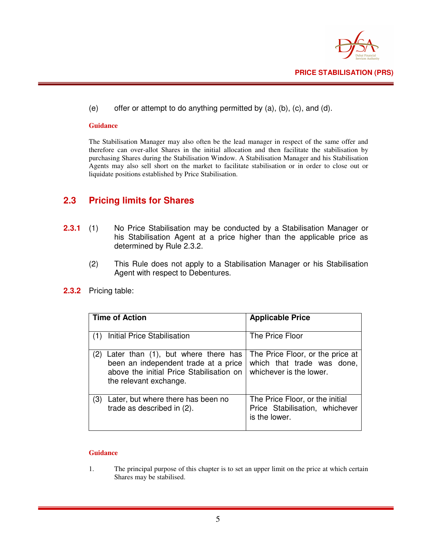

(e) offer or attempt to do anything permitted by (a), (b), (c), and (d).

#### **Guidance**

The Stabilisation Manager may also often be the lead manager in respect of the same offer and therefore can over-allot Shares in the initial allocation and then facilitate the stabilisation by purchasing Shares during the Stabilisation Window. A Stabilisation Manager and his Stabilisation Agents may also sell short on the market to facilitate stabilisation or in order to close out or liquidate positions established by Price Stabilisation.

#### **2.3 Pricing limits for Shares**

- **2.3.1** (1) No Price Stabilisation may be conducted by a Stabilisation Manager or his Stabilisation Agent at a price higher than the applicable price as determined by Rule 2.3.2.
	- (2) This Rule does not apply to a Stabilisation Manager or his Stabilisation Agent with respect to Debentures.

| <b>Time of Action</b> |                                                                                                                                                   | <b>Applicable Price</b>                                                                   |
|-----------------------|---------------------------------------------------------------------------------------------------------------------------------------------------|-------------------------------------------------------------------------------------------|
| (1)                   | <b>Initial Price Stabilisation</b>                                                                                                                | The Price Floor                                                                           |
| (2)                   | Later than (1), but where there has<br>been an independent trade at a price<br>above the initial Price Stabilisation on<br>the relevant exchange. | The Price Floor, or the price at<br>which that trade was done,<br>whichever is the lower. |
| (3)                   | Later, but where there has been no<br>trade as described in (2).                                                                                  | The Price Floor, or the initial<br>Price Stabilisation, whichever<br>is the lower.        |

**2.3.2** Pricing table:

#### **Guidance**

1. The principal purpose of this chapter is to set an upper limit on the price at which certain Shares may be stabilised.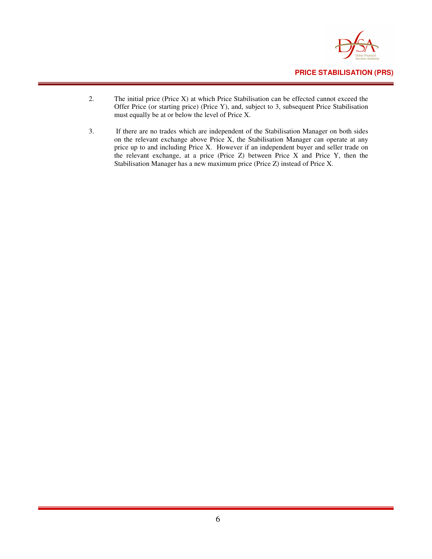

- 2. The initial price (Price X) at which Price Stabilisation can be effected cannot exceed the Offer Price (or starting price) (Price Y), and, subject to 3, subsequent Price Stabilisation must equally be at or below the level of Price X.
- 3. If there are no trades which are independent of the Stabilisation Manager on both sides on the relevant exchange above Price X, the Stabilisation Manager can operate at any price up to and including Price X. However if an independent buyer and seller trade on the relevant exchange, at a price (Price Z) between Price X and Price Y, then the Stabilisation Manager has a new maximum price (Price Z) instead of Price X.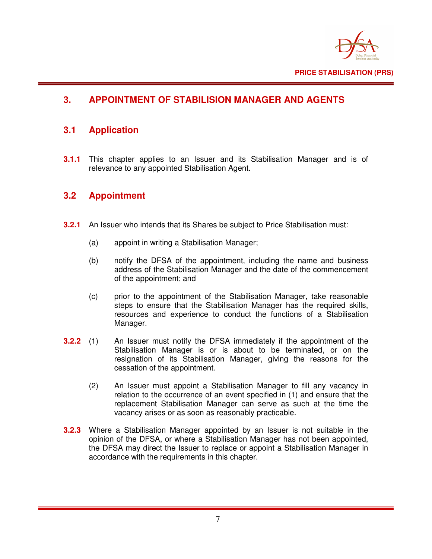

## **3. APPOINTMENT OF STABILISION MANAGER AND AGENTS**

## **3.1 Application**

**3.1.1** This chapter applies to an Issuer and its Stabilisation Manager and is of relevance to any appointed Stabilisation Agent.

### **3.2 Appointment**

- **3.2.1** An Issuer who intends that its Shares be subject to Price Stabilisation must:
	- (a) appoint in writing a Stabilisation Manager;
	- (b) notify the DFSA of the appointment, including the name and business address of the Stabilisation Manager and the date of the commencement of the appointment; and
	- (c) prior to the appointment of the Stabilisation Manager, take reasonable steps to ensure that the Stabilisation Manager has the required skills, resources and experience to conduct the functions of a Stabilisation Manager.
- **3.2.2** (1) An Issuer must notify the DFSA immediately if the appointment of the Stabilisation Manager is or is about to be terminated, or on the resignation of its Stabilisation Manager, giving the reasons for the cessation of the appointment.
	- (2) An Issuer must appoint a Stabilisation Manager to fill any vacancy in relation to the occurrence of an event specified in (1) and ensure that the replacement Stabilisation Manager can serve as such at the time the vacancy arises or as soon as reasonably practicable.
- **3.2.3** Where a Stabilisation Manager appointed by an Issuer is not suitable in the opinion of the DFSA, or where a Stabilisation Manager has not been appointed, the DFSA may direct the Issuer to replace or appoint a Stabilisation Manager in accordance with the requirements in this chapter.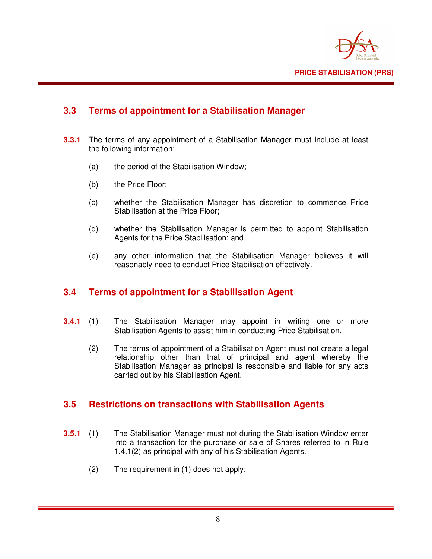

## **3.3 Terms of appointment for a Stabilisation Manager**

- **3.3.1** The terms of any appointment of a Stabilisation Manager must include at least the following information:
	- (a) the period of the Stabilisation Window;
	- (b) the Price Floor;
	- (c) whether the Stabilisation Manager has discretion to commence Price Stabilisation at the Price Floor;
	- (d) whether the Stabilisation Manager is permitted to appoint Stabilisation Agents for the Price Stabilisation; and
	- (e) any other information that the Stabilisation Manager believes it will reasonably need to conduct Price Stabilisation effectively.

#### **3.4 Terms of appointment for a Stabilisation Agent**

- **3.4.1** (1) The Stabilisation Manager may appoint in writing one or more Stabilisation Agents to assist him in conducting Price Stabilisation.
	- (2) The terms of appointment of a Stabilisation Agent must not create a legal relationship other than that of principal and agent whereby the Stabilisation Manager as principal is responsible and liable for any acts carried out by his Stabilisation Agent.

#### **3.5 Restrictions on transactions with Stabilisation Agents**

- **3.5.1** (1) The Stabilisation Manager must not during the Stabilisation Window enter into a transaction for the purchase or sale of Shares referred to in Rule 1.4.1(2) as principal with any of his Stabilisation Agents.
	- (2) The requirement in (1) does not apply: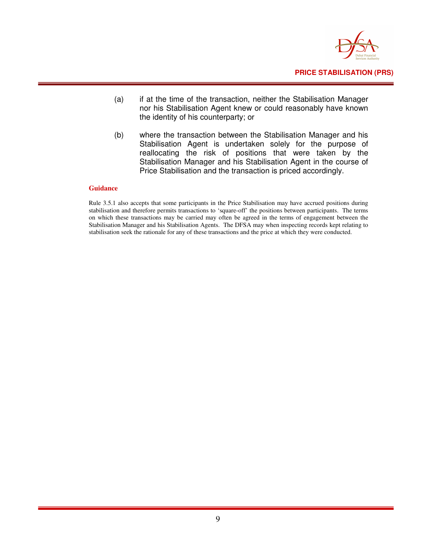

- (a) if at the time of the transaction, neither the Stabilisation Manager nor his Stabilisation Agent knew or could reasonably have known the identity of his counterparty; or
- (b) where the transaction between the Stabilisation Manager and his Stabilisation Agent is undertaken solely for the purpose of reallocating the risk of positions that were taken by the Stabilisation Manager and his Stabilisation Agent in the course of Price Stabilisation and the transaction is priced accordingly.

#### **Guidance**

Rule 3.5.1 also accepts that some participants in the Price Stabilisation may have accrued positions during stabilisation and therefore permits transactions to 'square-off' the positions between participants. The terms on which these transactions may be carried may often be agreed in the terms of engagement between the Stabilisation Manager and his Stabilisation Agents. The DFSA may when inspecting records kept relating to stabilisation seek the rationale for any of these transactions and the price at which they were conducted.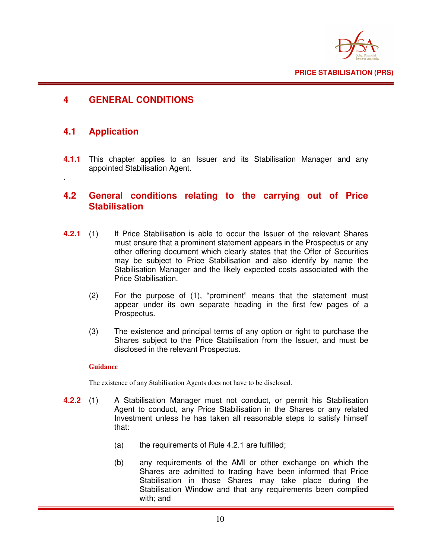

#### **4 GENERAL CONDITIONS**

#### **4.1 Application**

.

**4.1.1** This chapter applies to an Issuer and its Stabilisation Manager and any appointed Stabilisation Agent.

#### **4.2 General conditions relating to the carrying out of Price Stabilisation**

- **4.2.1** (1) If Price Stabilisation is able to occur the Issuer of the relevant Shares must ensure that a prominent statement appears in the Prospectus or any other offering document which clearly states that the Offer of Securities may be subject to Price Stabilisation and also identify by name the Stabilisation Manager and the likely expected costs associated with the Price Stabilisation.
	- (2) For the purpose of (1), "prominent" means that the statement must appear under its own separate heading in the first few pages of a Prospectus.
	- (3) The existence and principal terms of any option or right to purchase the Shares subject to the Price Stabilisation from the Issuer, and must be disclosed in the relevant Prospectus.

#### **Guidance**

The existence of any Stabilisation Agents does not have to be disclosed.

- **4.2.2** (1) A Stabilisation Manager must not conduct, or permit his Stabilisation Agent to conduct, any Price Stabilisation in the Shares or any related Investment unless he has taken all reasonable steps to satisfy himself that:
	- (a) the requirements of Rule 4.2.1 are fulfilled;
	- (b) any requirements of the AMI or other exchange on which the Shares are admitted to trading have been informed that Price Stabilisation in those Shares may take place during the Stabilisation Window and that any requirements been complied with; and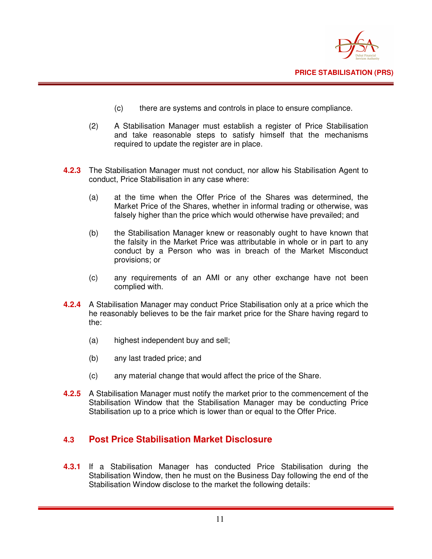

- (c) there are systems and controls in place to ensure compliance.
- (2) A Stabilisation Manager must establish a register of Price Stabilisation and take reasonable steps to satisfy himself that the mechanisms required to update the register are in place.
- **4.2.3** The Stabilisation Manager must not conduct, nor allow his Stabilisation Agent to conduct, Price Stabilisation in any case where:
	- (a) at the time when the Offer Price of the Shares was determined, the Market Price of the Shares, whether in informal trading or otherwise, was falsely higher than the price which would otherwise have prevailed; and
	- (b) the Stabilisation Manager knew or reasonably ought to have known that the falsity in the Market Price was attributable in whole or in part to any conduct by a Person who was in breach of the Market Misconduct provisions; or
	- (c) any requirements of an AMI or any other exchange have not been complied with.
- **4.2.4** A Stabilisation Manager may conduct Price Stabilisation only at a price which the he reasonably believes to be the fair market price for the Share having regard to the:
	- (a) highest independent buy and sell;
	- (b) any last traded price; and
	- (c) any material change that would affect the price of the Share.
- **4.2.5** A Stabilisation Manager must notify the market prior to the commencement of the Stabilisation Window that the Stabilisation Manager may be conducting Price Stabilisation up to a price which is lower than or equal to the Offer Price.

#### **4.3 Post Price Stabilisation Market Disclosure**

**4.3.1** If a Stabilisation Manager has conducted Price Stabilisation during the Stabilisation Window, then he must on the Business Day following the end of the Stabilisation Window disclose to the market the following details: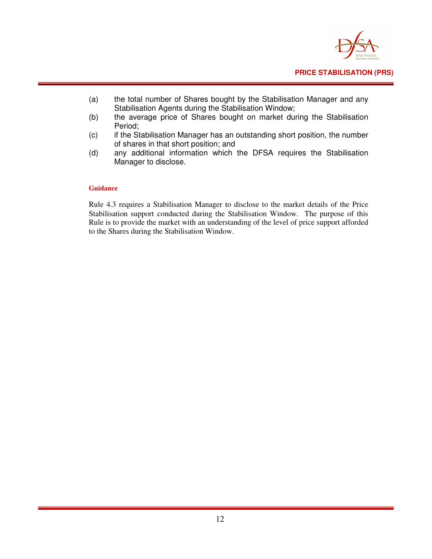

- (a) the total number of Shares bought by the Stabilisation Manager and any Stabilisation Agents during the Stabilisation Window;
- (b) the average price of Shares bought on market during the Stabilisation Period;
- (c) if the Stabilisation Manager has an outstanding short position, the number of shares in that short position; and
- (d) any additional information which the DFSA requires the Stabilisation Manager to disclose.

#### **Guidance**

Rule 4.3 requires a Stabilisation Manager to disclose to the market details of the Price Stabilisation support conducted during the Stabilisation Window. The purpose of this Rule is to provide the market with an understanding of the level of price support afforded to the Shares during the Stabilisation Window.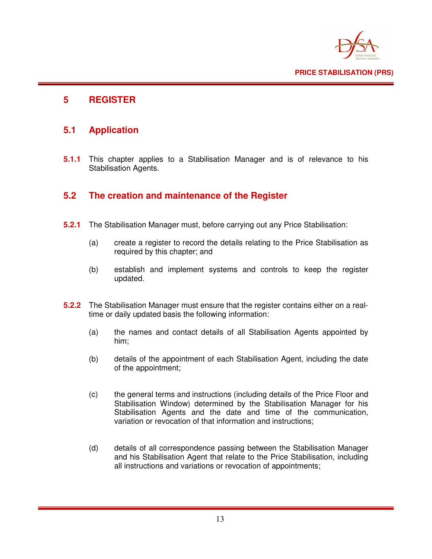

### **5 REGISTER**

### **5.1 Application**

**5.1.1** This chapter applies to a Stabilisation Manager and is of relevance to his Stabilisation Agents.

### **5.2 The creation and maintenance of the Register**

- **5.2.1** The Stabilisation Manager must, before carrying out any Price Stabilisation:
	- (a) create a register to record the details relating to the Price Stabilisation as required by this chapter; and
	- (b) establish and implement systems and controls to keep the register updated.
- **5.2.2** The Stabilisation Manager must ensure that the register contains either on a real time or daily updated basis the following information:
	- (a) the names and contact details of all Stabilisation Agents appointed by him;
	- (b) details of the appointment of each Stabilisation Agent, including the date of the appointment;
	- (c) the general terms and instructions (including details of the Price Floor and Stabilisation Window) determined by the Stabilisation Manager for his Stabilisation Agents and the date and time of the communication, variation or revocation of that information and instructions;
	- (d) details of all correspondence passing between the Stabilisation Manager and his Stabilisation Agent that relate to the Price Stabilisation, including all instructions and variations or revocation of appointments;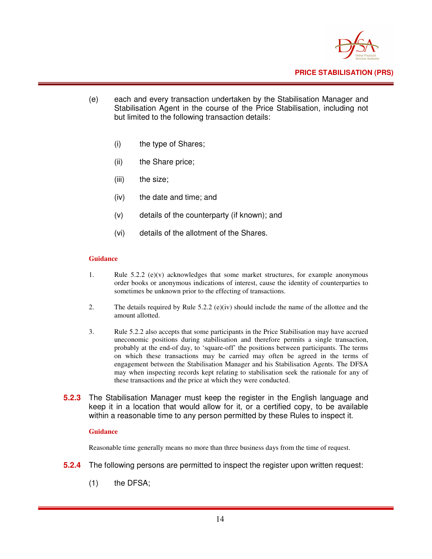

- (e) each and every transaction undertaken by the Stabilisation Manager and Stabilisation Agent in the course of the Price Stabilisation, including not but limited to the following transaction details:
	- (i) the type of Shares;
	- (ii) the Share price;
	- (iii) the size;
	- (iv) the date and time; and
	- (v) details of the counterparty (if known); and
	- (vi) details of the allotment of the Shares.

#### **Guidance**

- 1. Rule  $5.2.2$  (e)(v) acknowledges that some market structures, for example anonymous order books or anonymous indications of interest, cause the identity of counterparties to sometimes be unknown prior to the effecting of transactions.
- 2. The details required by Rule 5.2.2 (e)(iv) should include the name of the allottee and the amount allotted.
- 3. Rule 5.2.2 also accepts that some participants in the Price Stabilisation may have accrued uneconomic positions during stabilisation and therefore permits a single transaction, probably at the end-of day, to 'square-off' the positions between participants. The terms on which these transactions may be carried may often be agreed in the terms of engagement between the Stabilisation Manager and his Stabilisation Agents. The DFSA may when inspecting records kept relating to stabilisation seek the rationale for any of these transactions and the price at which they were conducted.
- **5.2.3** The Stabilisation Manager must keep the register in the English language and keep it in a location that would allow for it, or a certified copy, to be available within a reasonable time to any person permitted by these Rules to inspect it.

#### **Guidance**

Reasonable time generally means no more than three business days from the time of request.

- **5.2.4** The following persons are permitted to inspect the register upon written request:
	- (1) the DFSA;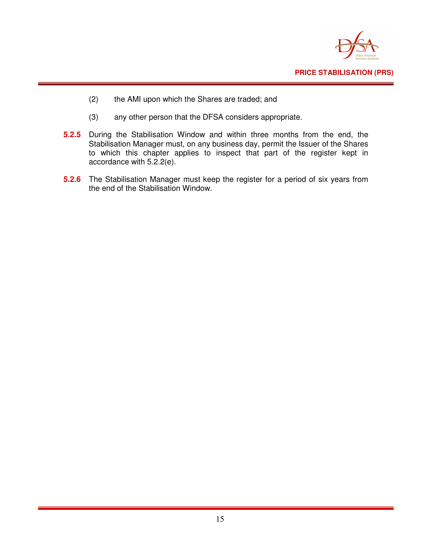

- (2) the AMI upon which the Shares are traded; and
- (3) any other person that the DFSA considers appropriate.
- **5.2.5** During the Stabilisation Window and within three months from the end, the Stabilisation Manager must, on any business day, permit the Issuer of the Shares to which this chapter applies to inspect that part of the register kept in accordance with 5.2.2(e).
- **5.2.6** The Stabilisation Manager must keep the register for a period of six years from the end of the Stabilisation Window.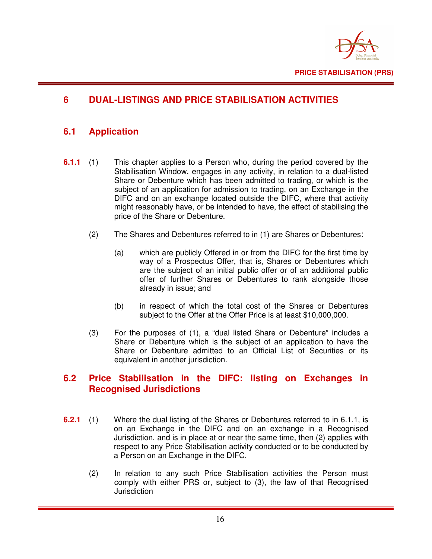

## **6 DUAL-LISTINGS AND PRICE STABILISATION ACTIVITIES**

## **6.1 Application**

- **6.1.1** (1) This chapter applies to a Person who, during the period covered by the Stabilisation Window, engages in any activity, in relation to a dual-listed Share or Debenture which has been admitted to trading, or which is the subject of an application for admission to trading, on an Exchange in the DIFC and on an exchange located outside the DIFC, where that activity might reasonably have, or be intended to have, the effect of stabilising the price of the Share or Debenture.
	- (2) The Shares and Debentures referred to in (1) are Shares or Debentures:
		- (a) which are publicly Offered in or from the DIFC for the first time by way of a Prospectus Offer, that is, Shares or Debentures which are the subject of an initial public offer or of an additional public offer of further Shares or Debentures to rank alongside those already in issue; and
		- (b) in respect of which the total cost of the Shares or Debentures subject to the Offer at the Offer Price is at least \$10,000,000.
	- (3) For the purposes of (1), a "dual listed Share or Debenture" includes a Share or Debenture which is the subject of an application to have the Share or Debenture admitted to an Official List of Securities or its equivalent in another jurisdiction.

#### **6.2 Price Stabilisation in the DIFC: listing on Exchanges in Recognised Jurisdictions**

- **6.2.1** (1) Where the dual listing of the Shares or Debentures referred to in 6.1.1, is on an Exchange in the DIFC and on an exchange in a Recognised Jurisdiction, and is in place at or near the same time, then (2) applies with respect to any Price Stabilisation activity conducted or to be conducted by a Person on an Exchange in the DIFC.
	- (2) In relation to any such Price Stabilisation activities the Person must comply with either PRS or, subject to (3), the law of that Recognised **Jurisdiction**